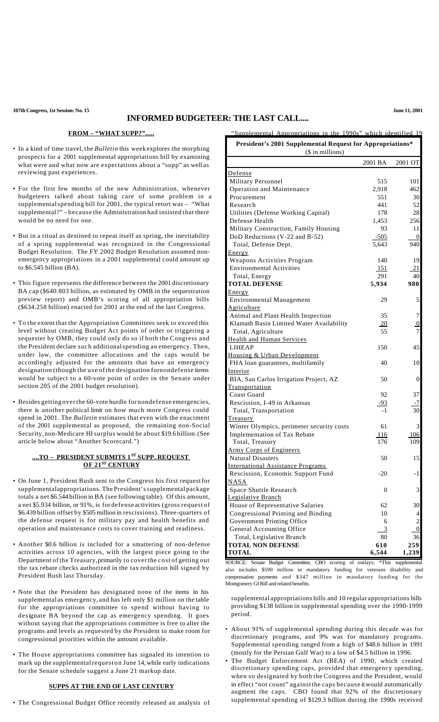## **INFORMED BUDGETEER: THE LAST CALL....**

**FROM – "WHAT SUPP?".....**

- In a kind of time travel, the *Bulletin* this week explores the morphing prospects for a 2001 supplemental appropriations bill by examining what were and what now are expectations about a "supp" as well as reviewing past experiences.
- For the first few months of the new Administration, whenever budgeteers talked about taking care of some problem in a supplementalspending bill for 2001, the typical retort was – "What supplemental?" – because the Administration had insisted that there would be no need for one.
- But in a ritual as destined to repeat itself as spring, the inevitability of a spring supplemental was recognized in the Congressional Budget Resolution. The FY 2002 Budget Resolution assumed nonemergency appropriations in a 2001 supplemental could amount up to \$6.545 billion (BA).
- This figure represents the difference between the 2001 discretionary BA cap (\$640.803 billion, as estimated by OMB in the sequestration preview report) and OMB's scoring of all appropriation bills (\$634.258 billion) enacted for 2001 at the end of the last Congress.
- To the extent that the Appropriation Committees seek to exceed this level without creating Budget Act points of order or triggering a sequester by OMB, they could only do so if both the Congress and the President declare such additionalspending an emergency. Then, under law, the committee allocations and the caps would be accordingly adjusted for the amounts that have an emergency designation (though the use of the designation fornondefense items would be subject to a 60-vote point of order in the Senate under section 205 of the 2001 budget resolution).
- Besides getting overthe 60-vote hurdle for nondefense emergencies, there is another political limit on how much more Congress could spend in 2001. The *Bulletin* estimates that even with the enactment of the 2001 supplemental as proposed, the remaining non-Social Security, non-Medicare HIsurplus would be about \$19.6 billion.(See article below about "Another Scorecard.")

### **....TO – PRESIDENT SUBMITS 1 ST SUPP. REQUEST OF 21ST CENTURY**

- On June 1, President Bush sent to the Congress his first requestfor supplementalappropriations. The President's supplemental package totals a net \$6.544 billion in BA (see following table). Of this amount, a net \$5.934 billion, or 91%, is for defense activities (gross request of \$6.439 billion offset by \$505 million in rescissions). Three-quarters of the defense request is for military pay and health benefits and operation and maintenance costs to cover training and readiness.
- Another \$0.6 billion is included for a smattering of non-defense activities across 10 agencies, with the largest piece going to the Department of the Treasury,primarily to coverthe cost of getting out the tax rebate checks authorized in the tax reduction bill signed by President Bush last Thursday.
- Note that the President has designated none of the items in his supplemental as emergency, and has left only \$1 million on the table for the appropriations committee to spend without having to designate BA beyond the cap as emergency spending. It goes without saying that the appropriations committee is free to alter the programs and levels as requested by the President to make room for congressional priorities within the amount available.
- The House appropriations committee has signaled its intention to mark up the supplementalrequest on June 14, while early indications for the Senate schedule suggest a June 21 markup date.

#### **SUPPS AT THE END OF LAST CENTURY**

• The Congressional Budget Office recently released an analysis of

| (\$ in millions)                          |            |                         |  |  |
|-------------------------------------------|------------|-------------------------|--|--|
|                                           | 2001 BA    | 2001 OT                 |  |  |
| <u>Defense</u>                            |            |                         |  |  |
| Military Personnel                        | 515        | 101                     |  |  |
| Operation and Maintenance                 | 2,918      | 462                     |  |  |
| Procurement                               | 551        | 30                      |  |  |
| Research                                  | 441        | 52                      |  |  |
| Utilities (Defense Working Capital)       | 178        | 28                      |  |  |
| Defense Health                            | 1,453      | 256                     |  |  |
| Military Construction, Family Housing     | 93         | 11                      |  |  |
| DoD Reductions (V-22 and B-52)            | $-505$     | 0                       |  |  |
| Total, Defense Dept.                      | 5,643      | 940                     |  |  |
| Energy                                    |            |                         |  |  |
| Weapons Activities Program                | 140        | 19                      |  |  |
| <b>Environmental Activities</b>           | 151        | 21                      |  |  |
| Total, Energy                             | 291        | 40                      |  |  |
| <b>TOTAL DEFENSE</b>                      | 5,934      | 980                     |  |  |
| Energy                                    |            |                         |  |  |
| <b>Environmental Management</b>           | 29         | 5                       |  |  |
| Agriculture                               |            |                         |  |  |
| Animal and Plant Health Inspection        | 35         | $\sqrt{ }$              |  |  |
| Klamath Basin Limited Water Availability  | 20         | $\overline{0}$          |  |  |
| Total, Agriculture                        | 55         | $\overline{7}$          |  |  |
| <b>Health and Human Services</b>          |            |                         |  |  |
| <b>LIHEAP</b>                             | 150        | 45                      |  |  |
| Housing & Urban Development               |            |                         |  |  |
| FHA loan guarantees, multifamily          | 40         | 10                      |  |  |
| Interior                                  |            |                         |  |  |
| BIA, San Carlos Irrigation Project, AZ    | 50         | $\boldsymbol{0}$        |  |  |
| <b>Transportation</b>                     |            |                         |  |  |
| Coast Guard                               | 92         | 37                      |  |  |
| Rescission, I-49 in Arkansas              | <u>-93</u> | -7                      |  |  |
| Total, Transportation                     | $-1$       | 30                      |  |  |
| <b>Treasury</b>                           |            |                         |  |  |
| Winter Olympics, perimeter security costs | 61         | 3                       |  |  |
| Implementation of Tax Rebate              | 116        | 106                     |  |  |
| Total, Treasury                           | 176        | 109                     |  |  |
| <b>Army Corps of Engineers</b>            |            |                         |  |  |
| <b>Natural Disasters</b>                  | 50         | 15                      |  |  |
| <b>International Assistance Programs</b>  |            |                         |  |  |
| Rescission, Economic Support Fund         | $-20$      | -1                      |  |  |
| <b>NASA</b>                               |            |                         |  |  |
| Space Shuttle Research                    | 0          | 3                       |  |  |
| <b>Legislative Branch</b>                 |            |                         |  |  |
| House of Representative Salaries          |            |                         |  |  |
|                                           | 62         | 30                      |  |  |
| Congressional Printing and Binding        | 10         | 4                       |  |  |
| Government Printing Office                | 6          | $\overline{\mathbf{c}}$ |  |  |
| General Accounting Office                 | 3          | 0                       |  |  |
| Total, Legislative Branch                 | 80         | 36                      |  |  |
| <b>TOTAL NON DEFENSE</b>                  | 610        | 259                     |  |  |
| <b>TOTAL</b>                              | 6,544      | 1,239                   |  |  |

Supplemental Appropriations in the 1990s" which identified 19 **President's 2001 Supplemental Request for Appropriations\***

SOURCE: Senate Budget Committee, CBO scoring of outlays; \*This supplemental also includes \$590 million in mandatory funding for veterans disability and compensation payments and \$347 million in mandatory funding for the Montgomery GI Bill and related benefits.

supplemental appropriations bills and 10 regular appropriations bills providing \$138 billion in supplemental spending over the 1990-1999 period.

- About 91% of supplemental spending during this decade was for discretionary programs, and 9% was for mandatory programs. Supplemental spending ranged from a high of \$48.6 billion in 1991 (mostly for the Persian Gulf War) to a low of \$4.5 billion in 1996.
- The Budget Enforcement Act (BEA) of 1990, which created discretionary spending caps, provided that emergency spending, when so designated by both the Congress and the President, would in effect "not count" against the caps because itwould automatically augment the caps. CBO found that 92% of the discretionary supplemental spending of \$129.3 billion during the 1990s received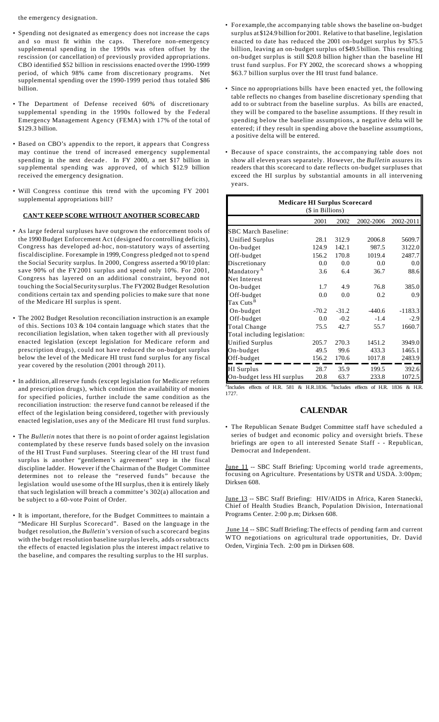the emergency designation.

- Spending not designated as emergency does not increase the caps an d so must fit within the caps. Therefore non-emergency supplemental spending in the 1990s was often offset by the rescission (or cancellation) of previously provided appropriations. CBO identified \$52 billion in rescissions enacted overthe 1990-1999 period, of which 98% came from discretionary programs. Net supplemental spending over the 1990-1999 period thus totaled \$86 billion.
- The Department of Defense received 60% of discretionary supplemental spending in the 1990s followed by the Federal Emergency Management Agency (FEMA) with 17% of the total of \$129.3 billion.
- Based on CBO's appendix to the report, it appears that Congress may continue the trend of increased emergency supplemental spending in the next decade. In FY 2000, a net \$17 billion in sup plemental spending was approved, of which \$12.9 billion received the emergency designation.
- Will Congress continue this trend with the upcoming FY 2001 supplemental appropriations bill?

#### **CAN'T KEEP SCORE WITHOUT ANOTHER SCORECARD**

- As large federal surpluses have outgrown the enforcement tools of the 1990Budget Enforcement Act (designed for controlling deficits), Congress has developed ad-hoc, non-statutory ways of asserting fiscal discipline. For example in 1999,Congress pledged not to spend the Social Security surplus. In 2000, Congress asserted a 90/10 plan: s ave 90% of the FY2001 surplus and spend only 10%. For 2001, Congress has layered on an additional constraint, beyond not touching the Social Security surplus. The FY2002 Budget Resolution conditions certain tax and spending policies to make sure that none of the Medicare HI surplus is spent.
- The 2002 Budget Resolution reconciliation instruction is an example of this. Sections 103 & 104 contain language which states that the reconciliation legislation, when taken together with all previously enacted legislation (except legislation for Medicare reform and prescription drugs), could not have reduced the on-budget surplus below the level of the Medicare HI trust fund surplus for any fiscal year covered by the resolution (2001 through 2011).
- In addition, all reserve funds (except legislation for Medicare reform and prescription drugs), which condition the availability of monies for specified policies, further include the same condition as the reconciliation instruction: the reserve fund cannot be released if the effect of the legislation being considered, together with previously enacted legislation, uses any of the Medicare HI trust fund surplus.
- The *Bulletin* notes that there is no point of order against legislation contemplated by these reserve funds based solely on the invasion of the HI Trust Fund surpluses. Steering clear of the HI trust fund surplus is another "gentlemen's agreement" step in the fiscal discipline ladder. However if the Chairman of the Budget Committee determines not to release the "reserved funds" because the legislation would use some of the HIsurplus, then it is entirely likely that such legislation will breach a committee's 302(a) allocation and be subject to a 60-vote Point of Order.
- It is important, therefore, for the Budget Committees to maintain a "Medicare HI Surplus Scorecard". Based on the language in the budget resolution, the *Bulletin's* version ofsuch a scorecard begins with the budget resolution baseline surplus levels, adds orsubtracts the effects of enacted legislation plus the interest impact relative to the baseline, and compares the resulting surplus to the HI surplus.
- For example,the accompanying table shows the baseline on-budget surplus at \$124.9 billion for 2001. Relative to that baseline, legislation enacted to date has reduced the 2001 on-budget surplus by \$75.5 billion, leaving an on-budget surplus of \$49.5 billion. This resulting on-budget surplus is still \$20.8 billion higher than the baseline HI trust fund surplus. For FY 2002, the scorecard shows a whopping \$63.7 billion surplus over the HI trust fund balance.
- Since no appropriations bills have been enacted yet, the following table reflects no changes from baseline discretionary spending that add to or subtract from the baseline surplus. As bills are enacted, they will be compared to the baseline assumptions. If they result in spending below the baseline assumptions, a negative delta will be entered; if they result in spending above the baseline assumptions, a positive delta will be entered.
- Because of space constraints, the ac companying table does not show all eleven years separately. However, the *Bulletin* assures its readers that this scorecard to date reflects on-budget surpluses that exceed the HI surplus by substantial amounts in all intervening years.

| <b>Medicare HI Surplus Scorecard</b><br>(\$ in Billions) |         |         |           |           |  |
|----------------------------------------------------------|---------|---------|-----------|-----------|--|
|                                                          | 2001    | 2002    | 2002-2006 | 2002-2011 |  |
| <b>SBC March Baseline:</b>                               |         |         |           |           |  |
| <b>Unified Surplus</b>                                   | 28.1    | 312.9   | 2006.8    | 5609.7    |  |
| On-budget                                                | 124.9   | 142.1   | 987.5     | 3122.0    |  |
| Off-budget                                               | 156.2   | 170.8   | 1019.4    | 2487.7    |  |
| Discretionary                                            | 0.0     | 0.0     | 0.0       | 0.0       |  |
| Mandatory <sup>A</sup>                                   | 3.6     | 6.4     | 36.7      | 88.6      |  |
| Net Interest                                             |         |         |           |           |  |
| On-budget                                                | 1.7     | 4.9     | 76.8      | 385.0     |  |
| Off-budget                                               | 0.0     | 0.0     | 0.2       | 0.9       |  |
| Tax Cuts <sup>B</sup>                                    |         |         |           |           |  |
| On-budget                                                | $-70.2$ | $-31.2$ | $-440.6$  | $-1183.3$ |  |
| Off-budget                                               | 0.0     | $-0.2$  | $-1.4$    | $-2.9$    |  |
| <b>Total Change</b>                                      | 75.5    | 42.7    | 55.7      | 1660.7    |  |
| Total including legislation:                             |         |         |           |           |  |
| <b>Unified Surplus</b>                                   | 205.7   | 270.3   | 1451.2    | 3949.0    |  |
| On-budget                                                | 49.5    | 99.6    | 433.3     | 1465.1    |  |
| Off-budget                                               | 156.2   | 170.6   | 1017.8    | 2483.9    |  |
| <b>HI</b> Surplus                                        | 28.7    | 35.9    | 199.5     | 392.6     |  |
| On-budget less HI surplus                                | 20.8    | 63.7    | 233.8     | 1072.5    |  |

AIncludes effects of H.R. 581 & H.R.1836. BIncludes effects of H.R. 1836 & H.R. 1727.

# **CALENDAR**

• The Republican Senate Budget Committee staff have scheduled a series of budget and economic policy and oversight briefs. These briefings are open to all interested Senate Staff - - Republican, Democrat and Independent.

June 11 -- SBC Staff Briefing: Upcoming world trade agreements, focusing on Agriculture. Presentations by USTR and USDA. 3:00pm; Dirksen 608.

June 13 -- SBC Staff Briefing: HIV/AIDS in Africa, Karen Stanecki, Chief of Health Studies Branch, Population Division, International Programs Center. 2:00 p.m; Dirksen 608.

 June 14 -- SBC Staff Briefing:The effects of pending farm and current WTO negotiations on agricultural trade opportunities, Dr. David Orden, Virginia Tech. 2:00 pm in Dirksen 608.